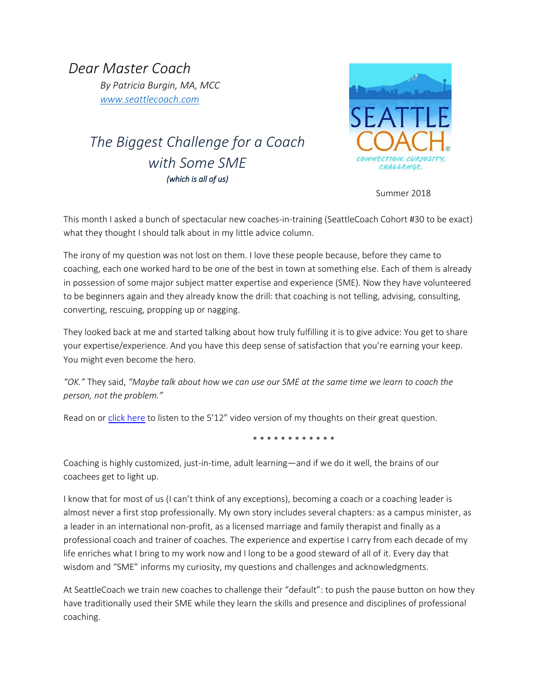*Dear Master Coach By Patricia Burgin, MA, MCC [www.seattlecoach.com](http://www.seattlecoach.com/)*

# *The Biggest Challenge for a Coach with Some SME (which is all of us)*



Summer 2018

This month I asked a bunch of spectacular new coaches-in-training (SeattleCoach Cohort #30 to be exact) what they thought I should talk about in my little advice column.

The irony of my question was not lost on them. I love these people because, before they came to coaching, each one worked hard to be one of the best in town at something else. Each of them is already in possession of some major subject matter expertise and experience (SME). Now they have volunteered to be beginners again and they already know the drill: that coaching is not telling, advising, consulting, converting, rescuing, propping up or nagging.

They looked back at me and started talking about how truly fulfilling it is to give advice: You get to share your expertise/experience. And you have this deep sense of satisfaction that you're earning your keep. You might even become the hero.

*"OK."* They said, *"Maybe talk about how we can use our SME at the same time we learn to coach the person, not the problem."*

Read on o[r click here](https://www.seattlecoach.com/dear-master-coach-blog) to listen to the 5'12" video version of my thoughts on their great question.

\* \* \* \* \* \* \* \* \* \* \*

Coaching is highly customized, just-in-time, adult learning—and if we do it well, the brains of our coachees get to light up.

I know that for most of us (I can't think of any exceptions), becoming a coach or a coaching leader is almost never a first stop professionally. My own story includes several chapters: as a campus minister, as a leader in an international non-profit, as a licensed marriage and family therapist and finally as a professional coach and trainer of coaches. The experience and expertise I carry from each decade of my life enriches what I bring to my work now and I long to be a good steward of all of it. Every day that wisdom and "SME" informs my curiosity, my questions and challenges and acknowledgments.

At SeattleCoach we train new coaches to challenge their "default": to push the pause button on how they have traditionally used their SME while they learn the skills and presence and disciplines of professional coaching.